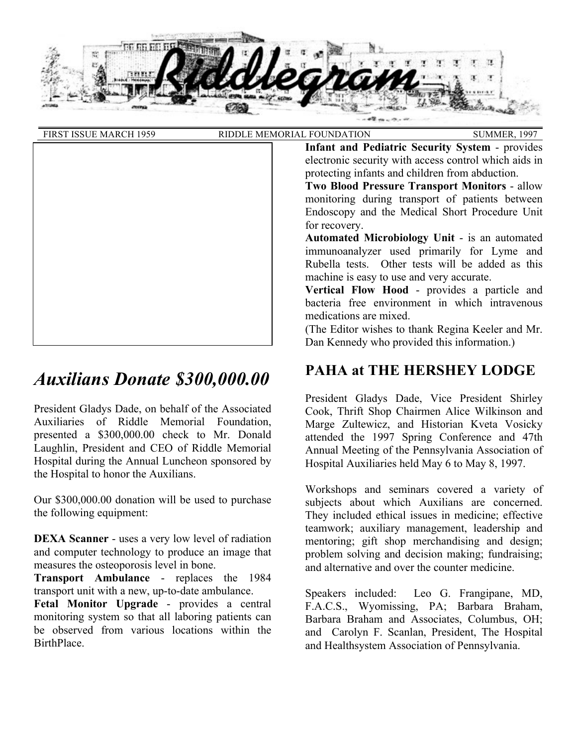

| <b>FIRST ISSUE MARCH 1959</b> | RIDDLE MEMORIAL FOUNDATION                                                                                                                                                                                                                                                                                                                                                                        | <b>SUMMER, 1997</b> |
|-------------------------------|---------------------------------------------------------------------------------------------------------------------------------------------------------------------------------------------------------------------------------------------------------------------------------------------------------------------------------------------------------------------------------------------------|---------------------|
|                               | <b>Infant and Pediatric Security System - provides</b><br>electronic security with access control which aids in<br>protecting infants and children from abduction.<br><b>Two Blood Pressure Transport Monitors - allow</b><br>monitoring during transport of patients between<br>Endoscopy and the Medical Short Procedure Unit<br>for recovery.<br>Automated Microbiology Unit - is an automated |                     |
|                               | immunoanalyzer used primarily for Lyme and<br>Rubella tests. Other tests will be added as this<br>machine is easy to use and very accurate.<br><b>Vertical Flow Hood - provides a particle and</b><br>bacteria free environment in which intravenous<br>medications are mixed.                                                                                                                    |                     |
|                               | (The Editor wishes to thank Regina Keeler and Mr.)<br>Dan Kennedy who provided this information.)                                                                                                                                                                                                                                                                                                 |                     |

# *Auxilians Donate \$300,000.00*

President Gladys Dade, on behalf of the Associated Auxiliaries of Riddle Memorial Foundation, presented a \$300,000.00 check to Mr. Donald Laughlin, President and CEO of Riddle Memorial Hospital during the Annual Luncheon sponsored by the Hospital to honor the Auxilians.

Our \$300,000.00 donation will be used to purchase the following equipment:

**DEXA Scanner** - uses a very low level of radiation and computer technology to produce an image that measures the osteoporosis level in bone.

**Transport Ambulance** - replaces the 1984 transport unit with a new, up-to-date ambulance.

**Fetal Monitor Upgrade** - provides a central monitoring system so that all laboring patients can be observed from various locations within the BirthPlace.

## **PAHA at THE HERSHEY LODGE**

President Gladys Dade, Vice President Shirley Cook, Thrift Shop Chairmen Alice Wilkinson and Marge Zultewicz, and Historian Kveta Vosicky attended the 1997 Spring Conference and 47th Annual Meeting of the Pennsylvania Association of Hospital Auxiliaries held May 6 to May 8, 1997.

Workshops and seminars covered a variety of subjects about which Auxilians are concerned. They included ethical issues in medicine; effective teamwork; auxiliary management, leadership and mentoring; gift shop merchandising and design; problem solving and decision making; fundraising; and alternative and over the counter medicine.

Speakers included: Leo G. Frangipane, MD, F.A.C.S., Wyomissing, PA; Barbara Braham, Barbara Braham and Associates, Columbus, OH; and Carolyn F. Scanlan, President, The Hospital and Healthsystem Association of Pennsylvania.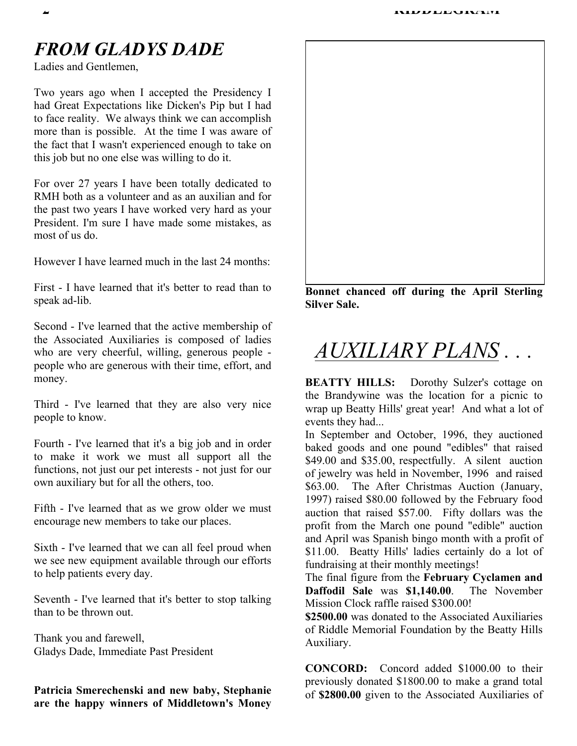## *FROM GLADYS DADE*

Ladies and Gentlemen,

Two years ago when I accepted the Presidency I had Great Expectations like Dicken's Pip but I had to face reality. We always think we can accomplish more than is possible. At the time I was aware of the fact that I wasn't experienced enough to take on this job but no one else was willing to do it.

For over 27 years I have been totally dedicated to RMH both as a volunteer and as an auxilian and for the past two years I have worked very hard as your President. I'm sure I have made some mistakes, as most of us do.

However I have learned much in the last 24 months:

First - I have learned that it's better to read than to speak ad-lib.

Second - I've learned that the active membership of the Associated Auxiliaries is composed of ladies who are very cheerful, willing, generous people people who are generous with their time, effort, and money.

Third - I've learned that they are also very nice people to know.

Fourth - I've learned that it's a big job and in order to make it work we must all support all the functions, not just our pet interests - not just for our own auxiliary but for all the others, too.

Fifth - I've learned that as we grow older we must encourage new members to take our places.

Sixth - I've learned that we can all feel proud when we see new equipment available through our efforts to help patients every day.

Seventh - I've learned that it's better to stop talking than to be thrown out.

Thank you and farewell, Gladys Dade, Immediate Past President

**Patricia Smerechenski and new baby, Stephanie are the happy winners of Middletown's Money** 



**Bonnet chanced off during the April Sterling Silver Sale.** 

# *AUXILIARY PLANS . . .*

**BEATTY HILLS:**Dorothy Sulzer's cottage on the Brandywine was the location for a picnic to wrap up Beatty Hills' great year! And what a lot of events they had...

In September and October, 1996, they auctioned baked goods and one pound "edibles" that raised \$49.00 and \$35.00, respectfully. A silent auction of jewelry was held in November, 1996 and raised \$63.00. The After Christmas Auction (January, 1997) raised \$80.00 followed by the February food auction that raised \$57.00. Fifty dollars was the profit from the March one pound "edible" auction and April was Spanish bingo month with a profit of \$11.00. Beatty Hills' ladies certainly do a lot of fundraising at their monthly meetings!

The final figure from the **February Cyclamen and Daffodil Sale** was **\$1,140.00**. The November Mission Clock raffle raised \$300.00!

**\$2500.00** was donated to the Associated Auxiliaries of Riddle Memorial Foundation by the Beatty Hills Auxiliary.

**CONCORD:** Concord added \$1000.00 to their previously donated \$1800.00 to make a grand total of **\$2800.00** given to the Associated Auxiliaries of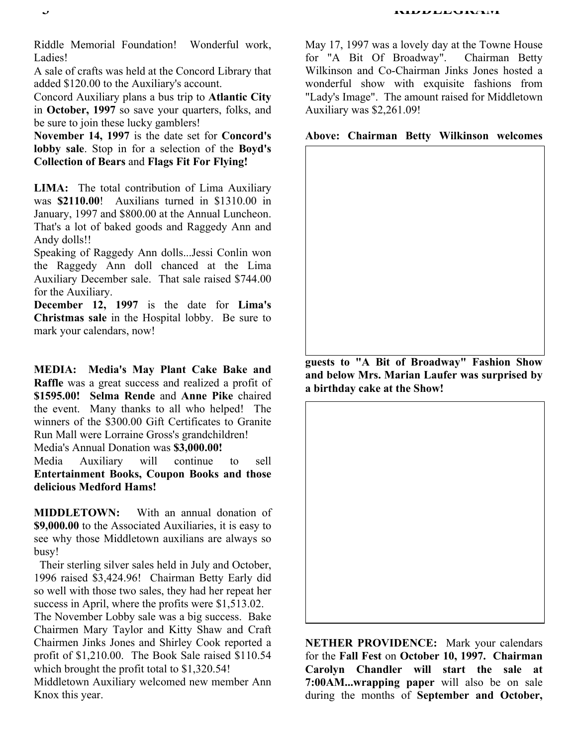Riddle Memorial Foundation! Wonderful work, Ladies!

A sale of crafts was held at the Concord Library that added \$120.00 to the Auxiliary's account.

Concord Auxiliary plans a bus trip to **Atlantic City** in **October, 1997** so save your quarters, folks, and be sure to join these lucky gamblers!

**November 14, 1997** is the date set for **Concord's lobby sale**. Stop in for a selection of the **Boyd's Collection of Bears** and **Flags Fit For Flying!**

**LIMA:** The total contribution of Lima Auxiliary was **\$2110.00**! Auxilians turned in \$1310.00 in January, 1997 and \$800.00 at the Annual Luncheon. That's a lot of baked goods and Raggedy Ann and Andy dolls!!

Speaking of Raggedy Ann dolls...Jessi Conlin won the Raggedy Ann doll chanced at the Lima Auxiliary December sale. That sale raised \$744.00 for the Auxiliary.

**December 12, 1997** is the date for **Lima's Christmas sale** in the Hospital lobby. Be sure to mark your calendars, now!

**MEDIA: Media's May Plant Cake Bake and Raffle** was a great success and realized a profit of **\$1595.00! Selma Rende** and **Anne Pike** chaired the event. Many thanks to all who helped! The winners of the \$300.00 Gift Certificates to Granite Run Mall were Lorraine Gross's grandchildren! Media's Annual Donation was **\$3,000.00!**

Media Auxiliary will continue to sell **Entertainment Books, Coupon Books and those delicious Medford Hams!** 

**MIDDLETOWN:** With an annual donation of **\$9,000.00** to the Associated Auxiliaries, it is easy to see why those Middletown auxilians are always so busy!

 Their sterling silver sales held in July and October, 1996 raised \$3,424.96! Chairman Betty Early did so well with those two sales, they had her repeat her success in April, where the profits were \$1,513.02.

The November Lobby sale was a big success. Bake Chairmen Mary Taylor and Kitty Shaw and Craft Chairmen Jinks Jones and Shirley Cook reported a profit of \$1,210.00. The Book Sale raised \$110.54 which brought the profit total to \$1,320.54!

Middletown Auxiliary welcomed new member Ann Knox this year.

May 17, 1997 was a lovely day at the Towne House for "A Bit Of Broadway". Chairman Betty Wilkinson and Co-Chairman Jinks Jones hosted a wonderful show with exquisite fashions from "Lady's Image". The amount raised for Middletown Auxiliary was \$2,261.09!

**Above: Chairman Betty Wilkinson welcomes** 

**guests to "A Bit of Broadway" Fashion Show and below Mrs. Marian Laufer was surprised by a birthday cake at the Show!** 

**NETHER PROVIDENCE:** Mark your calendars for the **Fall Fest** on **October 10, 1997. Chairman Carolyn Chandler will start the sale at 7:00AM...wrapping paper** will also be on sale during the months of **September and October,**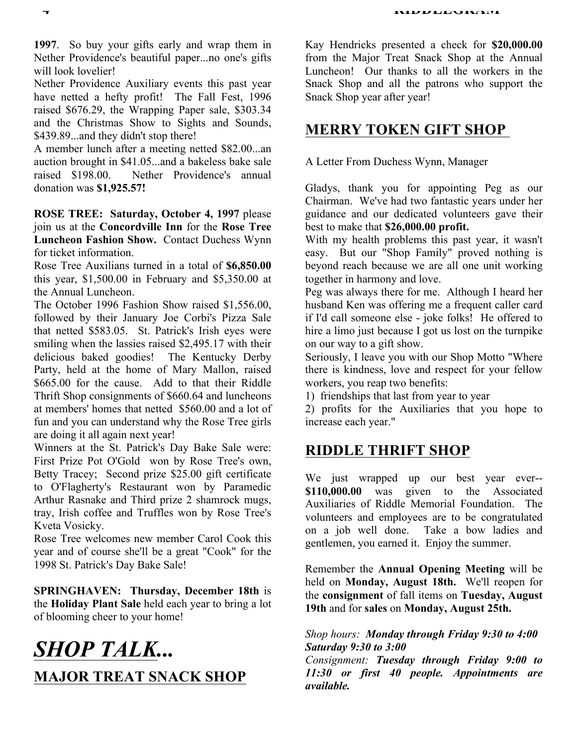**1997**. So buy your gifts early and wrap them in Nether Providence's beautiful paper...no one's gifts will look lovelier!

Nether Providence Auxiliary events this past year have netted a hefty profit! The Fall Fest, 1996 raised \$676.29, the Wrapping Paper sale, \$303.34 and the Christmas Show to Sights and Sounds, \$439.89...and they didn't stop there!

A member lunch after a meeting netted \$82.00...an auction brought in \$41.05...and a bakeless bake sale raised \$198.00. Nether Providence's annual donation was **\$1,925.57!** 

**ROSE TREE: Saturday, October 4, 1997** please join us at the **Concordville Inn** for the **Rose Tree Luncheon Fashion Show.** Contact Duchess Wynn for ticket information.

Rose Tree Auxilians turned in a total of **\$6,850.00** this year, \$1,500.00 in February and \$5,350.00 at the Annual Luncheon.

The October 1996 Fashion Show raised \$1,556.00, followed by their January Joe Corbi's Pizza Sale that netted \$583.05. St. Patrick's Irish eyes were smiling when the lassies raised \$2,495.17 with their delicious baked goodies! The Kentucky Derby Party, held at the home of Mary Mallon, raised \$665.00 for the cause. Add to that their Riddle Thrift Shop consignments of \$660.64 and luncheons at members' homes that netted \$560.00 and a lot of fun and you can understand why the Rose Tree girls are doing it all again next year!

Winners at the St. Patrick's Day Bake Sale were: First Prize Pot O'Gold won by Rose Tree's own, Betty Tracey; Second prize \$25.00 gift certificate to O'Flagherty's Restaurant won by Paramedic Arthur Rasnake and Third prize 2 shamrock mugs, tray, Irish coffee and Truffles won by Rose Tree's Kveta Vosicky.

Rose Tree welcomes new member Carol Cook this year and of course she'll be a great "Cook" for the 1998 St. Patrick's Day Bake Sale!

**SPRINGHAVEN: Thursday, December 18th** is the **Holiday Plant Sale** held each year to bring a lot of blooming cheer to your home!

# *SHOP TALK...*  **MAJOR TREAT SNACK SHOP**

Kay Hendricks presented a check for **\$20,000.00**  from the Major Treat Snack Shop at the Annual Luncheon! Our thanks to all the workers in the Snack Shop and all the patrons who support the Snack Shop year after year!

### **MERRY TOKEN GIFT SHOP**

A Letter From Duchess Wynn, Manager

Gladys, thank you for appointing Peg as our Chairman. We've had two fantastic years under her guidance and our dedicated volunteers gave their best to make that **\$26,000.00 profit.** 

With my health problems this past year, it wasn't easy. But our "Shop Family" proved nothing is beyond reach because we are all one unit working together in harmony and love.

Peg was always there for me. Although I heard her husband Ken was offering me a frequent caller card if I'd call someone else - joke folks! He offered to hire a limo just because I got us lost on the turnpike on our way to a gift show.

Seriously, I leave you with our Shop Motto "Where there is kindness, love and respect for your fellow workers, you reap two benefits:

1) friendships that last from year to year

2) profits for the Auxiliaries that you hope to increase each year."

## **RIDDLE THRIFT SHOP**

We just wrapped up our best year ever-- **\$110,000.00** was given to the Associated Auxiliaries of Riddle Memorial Foundation. The volunteers and employees are to be congratulated on a job well done. Take a bow ladies and gentlemen, you earned it. Enjoy the summer.

Remember the **Annual Opening Meeting** will be held on **Monday, August 18th.** We'll reopen for the **consignment** of fall items on **Tuesday, August 19th** and for **sales** on **Monday, August 25th.**

*Shop hours: Monday through Friday 9:30 to 4:00 Saturday 9:30 to 3:00* 

*Consignment: Tuesday through Friday 9:00 to 11:30 or first 40 people. Appointments are available.*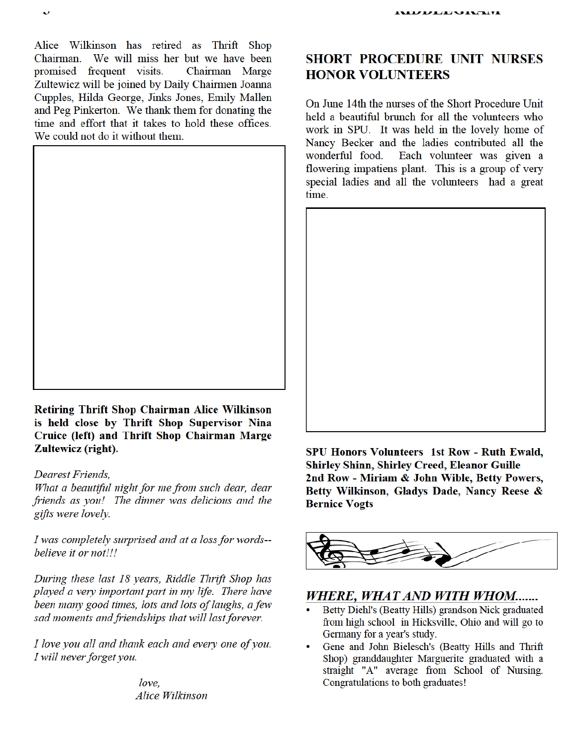Alice Wilkinson has retired as Thrift Shop Chairman. We will miss her but we have been promised frequent visits. Chairman Marge Zultewicz will be joined by Daily Chairmen Joanna Cupples, Hilda George, Jinks Jones, Emily Mallen and Peg Pinkerton. We thank them for donating the time and effort that it takes to hold these offices. We could not do it without them.



Retiring Thrift Shop Chairman Alice Wilkinson is held close by Thrift Shop Supervisor Nina Cruice (left) and Thrift Shop Chairman Marge Zultewicz (right).

Dearest Friends,

What a beautiful night for me from such dear, dear friends as you! The dinner was delicious and the gifts were lovely.

I was completely surprised and at a loss for words-believe it or not!!!

During these last 18 years, Riddle Thrift Shop has played a very important part in my life. There have been many good times, lots and lots of laughs, a few sad moments and friendships that will last forever.

I love you all and thank each and every one of you. I will never forget you.

> love. **Alice Wilkinson**

### **SHORT PROCEDURE UNIT NURSES HONOR VOLUNTEERS**

On June 14th the nurses of the Short Procedure Unit held a beautiful brunch for all the volunteers who work in SPU. It was held in the lovely home of Nancy Becker and the ladies contributed all the wonderful food. Each volunteer was given a flowering impatiens plant. This is a group of very special ladies and all the volunteers had a great time.



SPU Honors Volunteers 1st Row - Ruth Ewald, **Shirley Shinn, Shirley Creed, Eleanor Guille** 2nd Row - Miriam & John Wible, Betty Powers, Betty Wilkinson, Gladys Dade, Nancy Reese & **Bernice Vogts** 



### WHERE, WHAT AND WITH WHOM.......

- Betty Diehl's (Beatty Hills) grandson Nick graduated from high school in Hicksville, Ohio and will go to Germany for a year's study.
- Gene and John Bielesch's (Beatty Hills and Thrift Shop) granddaughter Marguerite graduated with a straight "A" average from School of Nursing. Congratulations to both graduates!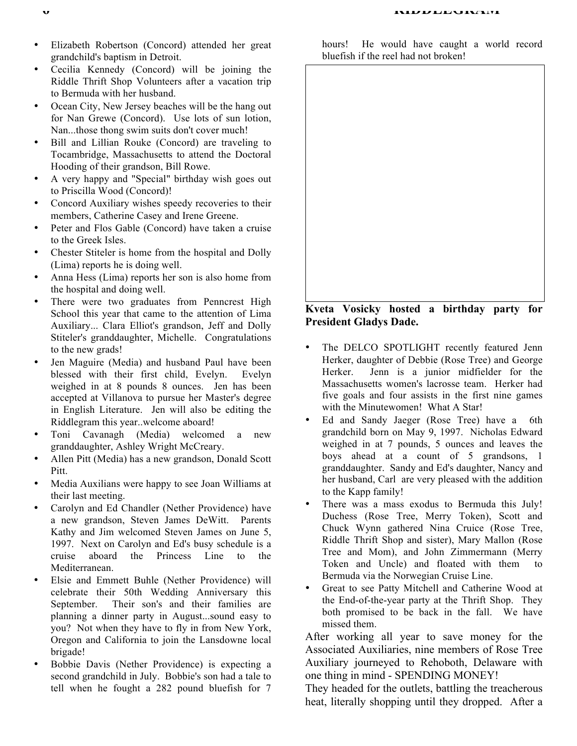- Elizabeth Robertson (Concord) attended her great grandchild's baptism in Detroit.
- Cecilia Kennedy (Concord) will be joining the Riddle Thrift Shop Volunteers after a vacation trip to Bermuda with her husband.
- Ocean City, New Jersey beaches will be the hang out for Nan Grewe (Concord). Use lots of sun lotion, Nan...those thong swim suits don't cover much!
- Bill and Lillian Rouke (Concord) are traveling to Tocambridge, Massachusetts to attend the Doctoral Hooding of their grandson, Bill Rowe.
- A very happy and "Special" birthday wish goes out to Priscilla Wood (Concord)!
- Concord Auxiliary wishes speedy recoveries to their members, Catherine Casey and Irene Greene.
- Peter and Flos Gable (Concord) have taken a cruise to the Greek Isles.
- Chester Stiteler is home from the hospital and Dolly (Lima) reports he is doing well.
- Anna Hess (Lima) reports her son is also home from the hospital and doing well.
- There were two graduates from Penncrest High School this year that came to the attention of Lima Auxiliary... Clara Elliot's grandson, Jeff and Dolly Stiteler's granddaughter, Michelle. Congratulations to the new grads!
- Jen Maguire (Media) and husband Paul have been blessed with their first child, Evelyn. Evelyn weighed in at 8 pounds 8 ounces. Jen has been accepted at Villanova to pursue her Master's degree in English Literature. Jen will also be editing the Riddlegram this year..welcome aboard!
- Toni Cavanagh (Media) welcomed a new granddaughter, Ashley Wright McCreary.
- Allen Pitt (Media) has a new grandson, Donald Scott Pitt.
- Media Auxilians were happy to see Joan Williams at their last meeting.
- Carolyn and Ed Chandler (Nether Providence) have a new grandson, Steven James DeWitt. Parents Kathy and Jim welcomed Steven James on June 5, 1997. Next on Carolyn and Ed's busy schedule is a cruise aboard the Princess Line to the Mediterranean.
- Elsie and Emmett Buhle (Nether Providence) will celebrate their 50th Wedding Anniversary this September. Their son's and their families are planning a dinner party in August...sound easy to you? Not when they have to fly in from New York, Oregon and California to join the Lansdowne local brigade!
- Bobbie Davis (Nether Providence) is expecting a second grandchild in July. Bobbie's son had a tale to tell when he fought a 282 pound bluefish for 7

hours! He would have caught a world record bluefish if the reel had not broken!



#### **Kveta Vosicky hosted a birthday party for President Gladys Dade.**

- The DELCO SPOTLIGHT recently featured Jenn Herker, daughter of Debbie (Rose Tree) and George Herker. Jenn is a junior midfielder for the Massachusetts women's lacrosse team. Herker had five goals and four assists in the first nine games with the Minutewomen! What A Star!
- Ed and Sandy Jaeger (Rose Tree) have a 6th grandchild born on May 9, 1997. Nicholas Edward weighed in at 7 pounds, 5 ounces and leaves the boys ahead at a count of 5 grandsons, 1 granddaughter. Sandy and Ed's daughter, Nancy and her husband, Carl are very pleased with the addition to the Kapp family!
- There was a mass exodus to Bermuda this July! Duchess (Rose Tree, Merry Token), Scott and Chuck Wynn gathered Nina Cruice (Rose Tree, Riddle Thrift Shop and sister), Mary Mallon (Rose Tree and Mom), and John Zimmermann (Merry Token and Uncle) and floated with them to Bermuda via the Norwegian Cruise Line.
- Great to see Patty Mitchell and Catherine Wood at the End-of-the-year party at the Thrift Shop. They both promised to be back in the fall. We have missed them.

After working all year to save money for the Associated Auxiliaries, nine members of Rose Tree Auxiliary journeyed to Rehoboth, Delaware with one thing in mind - SPENDING MONEY!

They headed for the outlets, battling the treacherous heat, literally shopping until they dropped. After a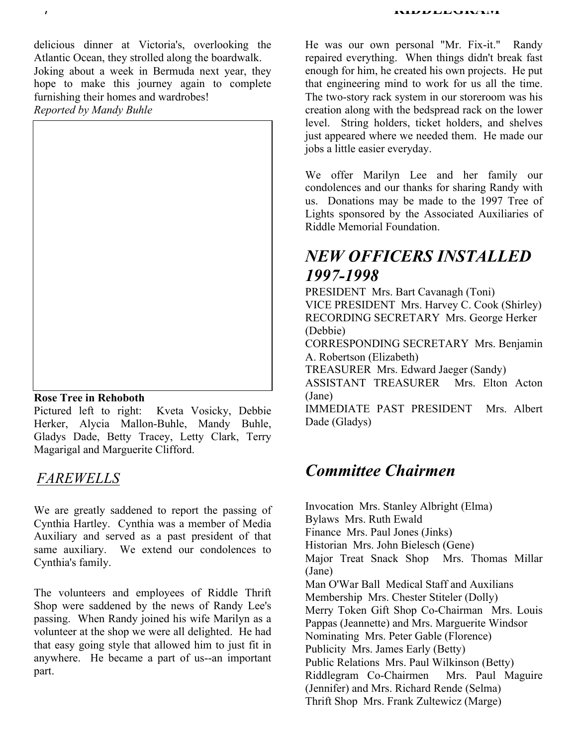*1* **RIDDLEGRAM** 

delicious dinner at Victoria's, overlooking the Atlantic Ocean, they strolled along the boardwalk. Joking about a week in Bermuda next year, they hope to make this journey again to complete furnishing their homes and wardrobes! *Reported by Mandy Buhle* 



#### **Rose Tree in Rehoboth**

Pictured left to right: Kveta Vosicky, Debbie Herker, Alycia Mallon-Buhle, Mandy Buhle, Gladys Dade, Betty Tracey, Letty Clark, Terry Magarigal and Marguerite Clifford.

## *FAREWELLS*

We are greatly saddened to report the passing of Cynthia Hartley. Cynthia was a member of Media Auxiliary and served as a past president of that same auxiliary. We extend our condolences to Cynthia's family.

The volunteers and employees of Riddle Thrift Shop were saddened by the news of Randy Lee's passing. When Randy joined his wife Marilyn as a volunteer at the shop we were all delighted. He had that easy going style that allowed him to just fit in anywhere. He became a part of us--an important part.

He was our own personal "Mr. Fix-it." Randy repaired everything. When things didn't break fast enough for him, he created his own projects. He put that engineering mind to work for us all the time. The two-story rack system in our storeroom was his creation along with the bedspread rack on the lower level. String holders, ticket holders, and shelves just appeared where we needed them. He made our jobs a little easier everyday.

We offer Marilyn Lee and her family our condolences and our thanks for sharing Randy with us. Donations may be made to the 1997 Tree of Lights sponsored by the Associated Auxiliaries of Riddle Memorial Foundation.

## *NEW OFFICERS INSTALLED 1997-1998*

PRESIDENT Mrs. Bart Cavanagh (Toni) VICE PRESIDENT Mrs. Harvey C. Cook (Shirley) RECORDING SECRETARY Mrs. George Herker (Debbie)

CORRESPONDING SECRETARY Mrs. Benjamin A. Robertson (Elizabeth)

TREASURER Mrs. Edward Jaeger (Sandy)

ASSISTANT TREASURER Mrs. Elton Acton (Jane)

IMMEDIATE PAST PRESIDENT Mrs. Albert Dade (Gladys)

## *Committee Chairmen*

Invocation Mrs. Stanley Albright (Elma) Bylaws Mrs. Ruth Ewald Finance Mrs. Paul Jones (Jinks) Historian Mrs. John Bielesch (Gene) Major Treat Snack Shop Mrs. Thomas Millar (Jane) Man O'War Ball Medical Staff and Auxilians Membership Mrs. Chester Stiteler (Dolly) Merry Token Gift Shop Co-Chairman Mrs. Louis Pappas (Jeannette) and Mrs. Marguerite Windsor Nominating Mrs. Peter Gable (Florence) Publicity Mrs. James Early (Betty) Public Relations Mrs. Paul Wilkinson (Betty) Riddlegram Co-Chairmen Mrs. Paul Maguire (Jennifer) and Mrs. Richard Rende (Selma) Thrift Shop Mrs. Frank Zultewicz (Marge)